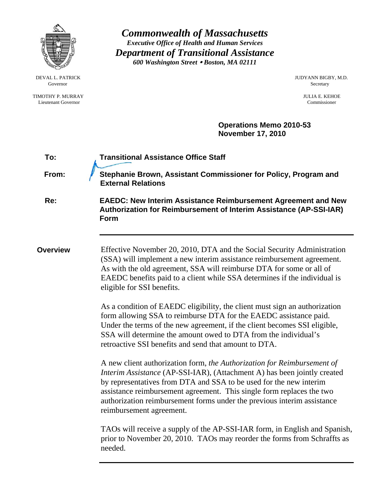

*Commonwealth of Massachusetts Executive Office of Health and Human Services Department of Transitional Assistance 600 Washington Street* y *Boston, MA 02111* 

DEVAL L. PATRICK JUDYANN BIGBY, M.D.

 **Operations Memo 2010-53 November 17, 2010** 

| To:             | <b>Transitional Assistance Office Staff</b>                                                                                                                                                                                                                                                                                                                                                               |  |  |  |  |  |
|-----------------|-----------------------------------------------------------------------------------------------------------------------------------------------------------------------------------------------------------------------------------------------------------------------------------------------------------------------------------------------------------------------------------------------------------|--|--|--|--|--|
| From:           | Stephanie Brown, Assistant Commissioner for Policy, Program and<br><b>External Relations</b>                                                                                                                                                                                                                                                                                                              |  |  |  |  |  |
| Re:             | <b>EAEDC: New Interim Assistance Reimbursement Agreement and New</b><br>Authorization for Reimbursement of Interim Assistance (AP-SSI-IAR)<br>Form                                                                                                                                                                                                                                                        |  |  |  |  |  |
| <b>Overview</b> | Effective November 20, 2010, DTA and the Social Security Administration<br>(SSA) will implement a new interim assistance reimbursement agreement.<br>As with the old agreement, SSA will reimburse DTA for some or all of<br>EAEDC benefits paid to a client while SSA determines if the individual is<br>eligible for SSI benefits.                                                                      |  |  |  |  |  |
|                 | As a condition of EAEDC eligibility, the client must sign an authorization<br>form allowing SSA to reimburse DTA for the EAEDC assistance paid.<br>Under the terms of the new agreement, if the client becomes SSI eligible,<br>SSA will determine the amount owed to DTA from the individual's<br>retroactive SSI benefits and send that amount to DTA.                                                  |  |  |  |  |  |
|                 | A new client authorization form, the Authorization for Reimbursement of<br>Interim Assistance (AP-SSI-IAR), (Attachment A) has been jointly created<br>by representatives from DTA and SSA to be used for the new interim<br>assistance reimbursement agreement. This single form replaces the two<br>authorization reimbursement forms under the previous interim assistance<br>reimbursement agreement. |  |  |  |  |  |
|                 | TAOs will receive a supply of the AP-SSI-IAR form, in English and Spanish,<br>prior to November 20, 2010. TAOs may reorder the forms from Schraffts as<br>needed.                                                                                                                                                                                                                                         |  |  |  |  |  |

Governor Secretary Secretary Secretary Secretary Secretary Secretary Secretary Secretary Secretary Secretary Secretary Secretary Secretary Secretary Secretary Secretary Secretary Secretary Secretary Secretary Secretary Sec

 TIMOTHY P. MURRAY JULIA E. KEHOE Lieutenant Governor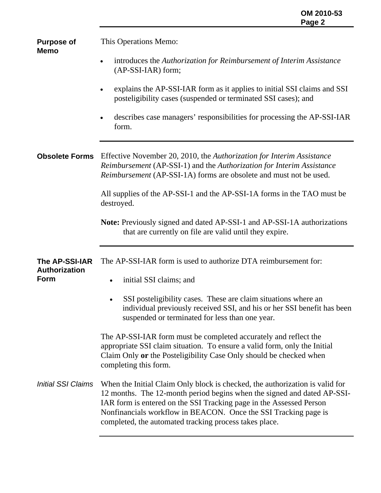**Purpose of Memo**  This Operations Memo: • introduces the *Authorization for Reimbursement of Interim Assistance* (AP-SSI-IAR) form; • explains the AP-SSI-IAR form as it applies to initial SSI claims and SSI posteligibility cases (suspended or terminated SSI cases); and • describes case managers' responsibilities for processing the AP-SSI-IAR form. **Obsolete Forms** Effective November 20, 2010, the *Authorization for Interim Assistance Reimbursement* (AP-SSI-1) and the *Authorization for Interim Assistance Reimbursement* (AP-SSI-1A) forms are obsolete and must not be used. All supplies of the AP-SSI-1 and the AP-SSI-1A forms in the TAO must be destroyed. **Note:** Previously signed and dated AP-SSI-1 and AP-SSI-1A authorizations that are currently on file are valid until they expire. **The AP-SSI-IAR Authorization Form**  *Initial SSI Claims* The AP-SSI-IAR form is used to authorize DTA reimbursement for: • initial SSI claims; and SSI posteligibility cases. These are claim situations where an individual previously received SSI, and his or her SSI benefit has been suspended or terminated for less than one year. The AP-SSI-IAR form must be completed accurately and reflect the appropriate SSI claim situation. To ensure a valid form, only the Initial Claim Only **or** the Posteligibility Case Only should be checked when completing this form. When the Initial Claim Only block is checked, the authorization is valid for 12 months. The 12-month period begins when the signed and dated AP-SSI-IAR form is entered on the SSI Tracking page in the Assessed Person Nonfinancials workflow in BEACON. Once the SSI Tracking page is completed, the automated tracking process takes place.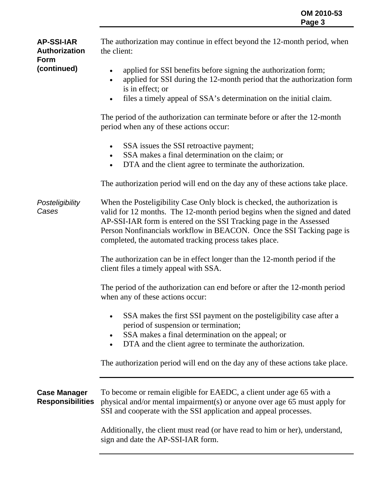| <b>AP-SSI-IAR</b><br>Authorization<br><b>Form</b> | The authorization may continue in effect beyond the 12-month period, when<br>the client:                                                                                                                                                                                                                                                                         |  |  |  |  |  |
|---------------------------------------------------|------------------------------------------------------------------------------------------------------------------------------------------------------------------------------------------------------------------------------------------------------------------------------------------------------------------------------------------------------------------|--|--|--|--|--|
| (continued)                                       | applied for SSI benefits before signing the authorization form;<br>$\bullet$<br>applied for SSI during the 12-month period that the authorization form<br>$\bullet$<br>is in effect; or<br>files a timely appeal of SSA's determination on the initial claim.<br>$\bullet$                                                                                       |  |  |  |  |  |
|                                                   | The period of the authorization can terminate before or after the 12-month<br>period when any of these actions occur:                                                                                                                                                                                                                                            |  |  |  |  |  |
|                                                   | SSA issues the SSI retroactive payment;<br>$\bullet$<br>SSA makes a final determination on the claim; or<br>$\bullet$<br>DTA and the client agree to terminate the authorization.<br>$\bullet$                                                                                                                                                                   |  |  |  |  |  |
|                                                   | The authorization period will end on the day any of these actions take place.                                                                                                                                                                                                                                                                                    |  |  |  |  |  |
| Posteligibility<br>Cases                          | When the Posteligibility Case Only block is checked, the authorization is<br>valid for 12 months. The 12-month period begins when the signed and dated<br>AP-SSI-IAR form is entered on the SSI Tracking page in the Assessed<br>Person Nonfinancials workflow in BEACON. Once the SSI Tacking page is<br>completed, the automated tracking process takes place. |  |  |  |  |  |
|                                                   | The authorization can be in effect longer than the 12-month period if the<br>client files a timely appeal with SSA.                                                                                                                                                                                                                                              |  |  |  |  |  |
|                                                   | The period of the authorization can end before or after the 12-month period<br>when any of these actions occur:                                                                                                                                                                                                                                                  |  |  |  |  |  |
|                                                   | SSA makes the first SSI payment on the posteligibility case after a<br>period of suspension or termination;<br>SSA makes a final determination on the appeal; or<br>$\bullet$<br>DTA and the client agree to terminate the authorization.                                                                                                                        |  |  |  |  |  |
|                                                   | The authorization period will end on the day any of these actions take place.                                                                                                                                                                                                                                                                                    |  |  |  |  |  |
| <b>Case Manager</b><br><b>Responsibilities</b>    | To become or remain eligible for EAEDC, a client under age 65 with a<br>physical and/or mental impairment(s) or anyone over age 65 must apply for<br>SSI and cooperate with the SSI application and appeal processes.                                                                                                                                            |  |  |  |  |  |
|                                                   | Additionally, the client must read (or have read to him or her), understand,<br>sign and date the AP-SSI-IAR form.                                                                                                                                                                                                                                               |  |  |  |  |  |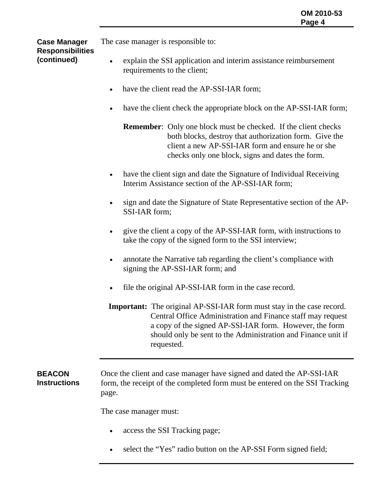The case manager is responsible to:

## **Case Manager Responsibilities (continued)**

- explain the SSI application and interim assistance reimbursement requirements to the client;
- have the client read the AP-SSI-IAR form;
- have the client check the appropriate block on the AP-SSI-IAR form;

**Remember:** Only one block must be checked. If the client checks both blocks, destroy that authorization form. Give the client a new AP-SSI-IAR form and ensure he or she checks only one block, signs and dates the form.

- have the client sign and date the Signature of Individual Receiving Interim Assistance section of the AP-SSI-IAR form;
- sign and date the Signature of State Representative section of the AP-SSI-IAR form;
- give the client a copy of the AP-SSI-IAR form, with instructions to take the copy of the signed form to the SSI interview;
- annotate the Narrative tab regarding the client's compliance with signing the AP-SSI-IAR form; and
- file the original AP-SSI-IAR form in the case record.

**Important:** The original AP-SSI-IAR form must stay in the case record. Central Office Administration and Finance staff may request a copy of the signed AP-SSI-IAR form. However, the form should only be sent to the Administration and Finance unit if requested.

#### **BEACON Instructions**  Once the client and case manager have signed and dated the AP-SSI-IAR form, the receipt of the completed form must be entered on the SSI Tracking page.

The case manager must:

- access the SSI Tracking page;
- select the "Yes" radio button on the AP-SSI Form signed field;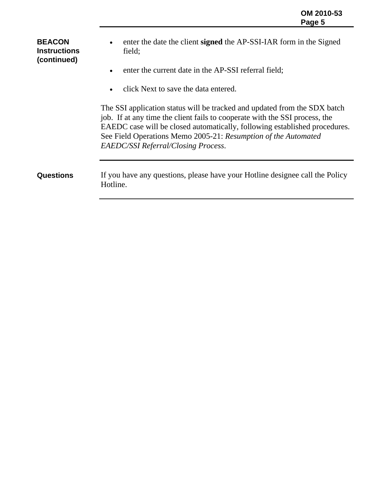**BEACON Instructions (continued)**  • enter the date the client **signed** the AP-SSI-IAR form in the Signed field; • enter the current date in the AP-SSI referral field; • click Next to save the data entered. The SSI application status will be tracked and updated from the SDX batch job. If at any time the client fails to cooperate with the SSI process, the EAEDC case will be closed automatically, following established procedures. See Field Operations Memo 2005-21: *Resumption of the Automated EAEDC/SSI Referral/Closing Process*. **Questions** If you have any questions, please have your Hotline designee call the Policy Hotline.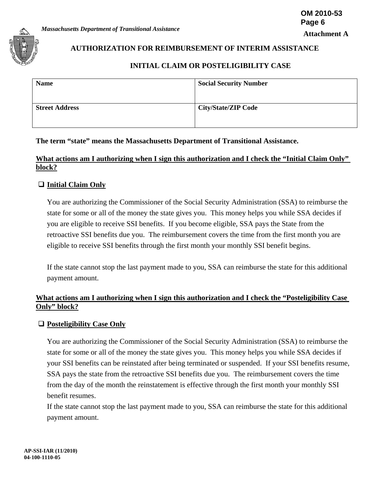

# **AUTHORIZATION FOR REIMBURSEMENT OF INTERIM ASSISTANCE**

## **INITIAL CLAIM OR POSTELIGIBILITY CASE**

| <b>Name</b>           | <b>Social Security Number</b> |
|-----------------------|-------------------------------|
| <b>Street Address</b> | <b>City/State/ZIP Code</b>    |

## **The term "state" means the Massachusetts Department of Transitional Assistance.**

## **What actions am I authorizing when I sign this authorization and I check the "Initial Claim Only" block?**

## **Initial Claim Only**

You are authorizing the Commissioner of the Social Security Administration (SSA) to reimburse the state for some or all of the money the state gives you. This money helps you while SSA decides if you are eligible to receive SSI benefits. If you become eligible, SSA pays the State from the retroactive SSI benefits due you. The reimbursement covers the time from the first month you are eligible to receive SSI benefits through the first month your monthly SSI benefit begins.

If the state cannot stop the last payment made to you, SSA can reimburse the state for this additional payment amount.

## **What actions am I authorizing when I sign this authorization and I check the "Posteligibility Case Only" block?**

## **Posteligibility Case Only**

You are authorizing the Commissioner of the Social Security Administration (SSA) to reimburse the state for some or all of the money the state gives you. This money helps you while SSA decides if your SSI benefits can be reinstated after being terminated or suspended. If your SSI benefits resume, SSA pays the state from the retroactive SSI benefits due you. The reimbursement covers the time from the day of the month the reinstatement is effective through the first month your monthly SSI benefit resumes.

If the state cannot stop the last payment made to you, SSA can reimburse the state for this additional payment amount.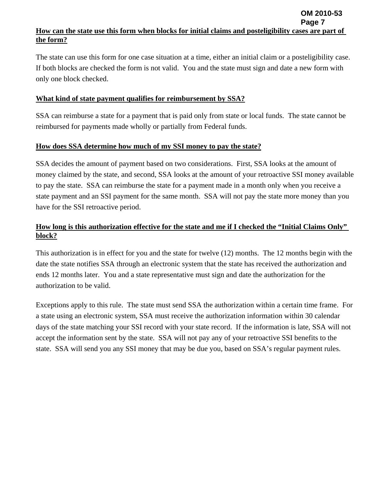#### **Page 7 How can the state use this form when blocks for initial claims and posteligibility cases are part of the form?**

**OM 2010-53**

The state can use this form for one case situation at a time, either an initial claim or a posteligibility case. If both blocks are checked the form is not valid. You and the state must sign and date a new form with only one block checked.

### **What kind of state payment qualifies for reimbursement by SSA?**

SSA can reimburse a state for a payment that is paid only from state or local funds. The state cannot be reimbursed for payments made wholly or partially from Federal funds.

#### **How does SSA determine how much of my SSI money to pay the state?**

SSA decides the amount of payment based on two considerations. First, SSA looks at the amount of money claimed by the state, and second, SSA looks at the amount of your retroactive SSI money available to pay the state. SSA can reimburse the state for a payment made in a month only when you receive a state payment and an SSI payment for the same month. SSA will not pay the state more money than you have for the SSI retroactive period.

# **How long is this authorization effective for the state and me if I checked the "Initial Claims Only" block?**

This authorization is in effect for you and the state for twelve (12) months. The 12 months begin with the date the state notifies SSA through an electronic system that the state has received the authorization and ends 12 months later. You and a state representative must sign and date the authorization for the authorization to be valid.

Exceptions apply to this rule. The state must send SSA the authorization within a certain time frame. For a state using an electronic system, SSA must receive the authorization information within 30 calendar days of the state matching your SSI record with your state record. If the information is late, SSA will not accept the information sent by the state. SSA will not pay any of your retroactive SSI benefits to the state. SSA will send you any SSI money that may be due you, based on SSA's regular payment rules.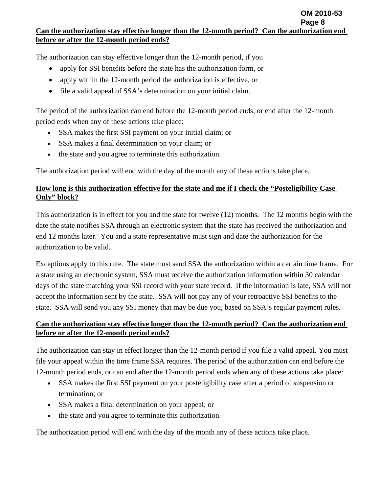The authorization can stay effective longer than the 12-month period, if you

- apply for SSI benefits before the state has the authorization form, or
- apply within the 12-month period the authorization is effective, or
- file a valid appeal of SSA's determination on your initial claim.

The period of the authorization can end before the 12-month period ends, or end after the 12-month period ends when any of these actions take place:

- SSA makes the first SSI payment on your initial claim; or
- SSA makes a final determination on your claim; or
- the state and you agree to terminate this authorization.

The authorization period will end with the day of the month any of these actions take place.

# **How long is this authorization effective for the state and me if I check the "Posteligibility Case Only" block?**

This authorization is in effect for you and the state for twelve (12) months. The 12 months begin with the date the state notifies SSA through an electronic system that the state has received the authorization and end 12 months later. You and a state representative must sign and date the authorization for the authorization to be valid.

Exceptions apply to this rule. The state must send SSA the authorization within a certain time frame. For a state using an electronic system, SSA must receive the authorization information within 30 calendar days of the state matching your SSI record with your state record. If the information is late, SSA will not accept the information sent by the state. SSA will not pay any of your retroactive SSI benefits to the state. SSA will send you any SSI money that may be due you, based on SSA's regular payment rules.

# **Can the authorization stay effective longer than the 12-month period? Can the authorization end before or after the 12-month period ends?**

The authorization can stay in effect longer than the 12-month period if you file a valid appeal. You must file your appeal within the time frame SSA requires. The period of the authorization can end before the 12-month period ends, or can end after the 12-month period ends when any of these actions take place:

- SSA makes the first SSI payment on your posteligibility case after a period of suspension or termination; or
- SSA makes a final determination on your appeal; or
- the state and you agree to terminate this authorization.

The authorization period will end with the day of the month any of these actions take place.